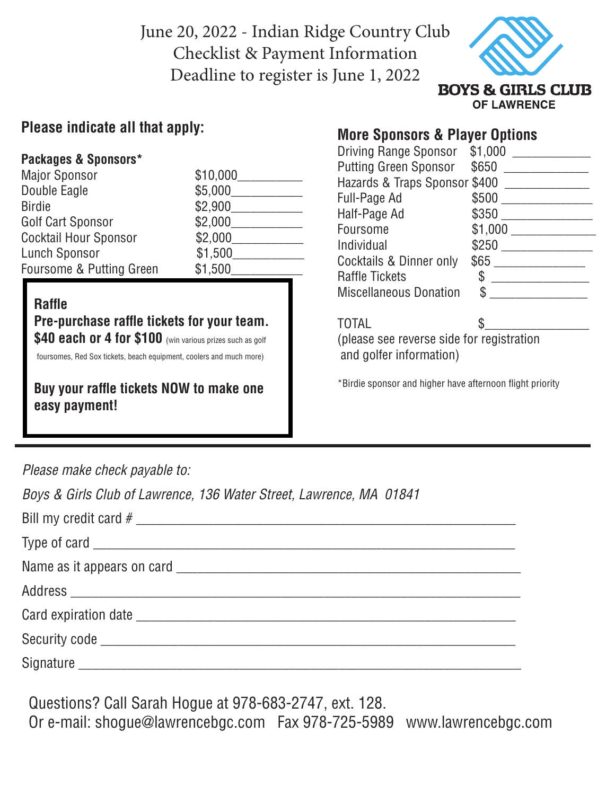June 20, 2022 - Indian Ridge Country Club Checklist & Payment Information Deadline to register is June 1, 2022



**OF LAWRENCE** 

### **Please indicate all that apply:**

#### **Packages & Sponsors\***

| <b>Major Sponsor</b>         | \$10,000 |
|------------------------------|----------|
| Double Eagle                 | \$5,000  |
| <b>Birdie</b>                | \$2,900  |
| Golf Cart Sponsor            | \$2,000  |
| <b>Cocktail Hour Sponsor</b> | \$2,000  |
| <b>Lunch Sponsor</b>         | \$1,500  |
| Foursome & Putting Green     | \$1,500  |

#### **Raffle**

 **Pre-purchase raffle tickets for your team. \$40 each or 4 for \$100** (win various prizes such as golf

foursomes, Red Sox tickets, beach equipment, coolers and much more)

 **Buy your raffle tickets NOW to make one easy payment!**

## **More Sponsors & Player Options**

| <b>Driving Range Sponsor</b>  | \$1,000       |
|-------------------------------|---------------|
| <b>Putting Green Sponsor</b>  | \$650         |
| Hazards & Traps Sponsor \$400 |               |
| Full-Page Ad                  | \$500         |
| Half-Page Ad                  | \$350         |
| Foursome                      | \$1,000       |
| Individual                    | \$250         |
| Cocktails & Dinner only       | \$65          |
| <b>Raffle Tickets</b>         | $\mathcal{S}$ |
| <b>Miscellaneous Donation</b> | \$            |
|                               |               |

TOTAL

(please see reverse side for registration and golfer information)

\*Birdie sponsor and higher have afternoon flight priority

*Please make check payable to:*

*Boys & Girls Club of Lawrence, 136 Water Street, Lawrence, MA 01841*

Questions? Call Sarah Hogue at 978-683-2747, ext. 128. Or e-mail: shogue@lawrencebgc.com Fax 978-725-5989 www.lawrencebgc.com